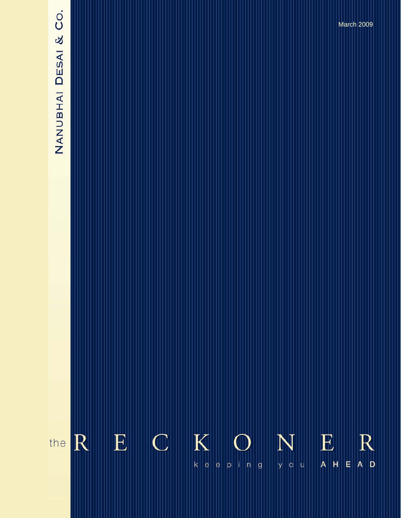# NANUBHAI DESAI & CO.

 $K$  $\mathbf E$  $\mathbb{C}$ E  $R$ R N the  $\vert$ E $\vert$  $\mathsf{k} \parallel \mathsf{e} \parallel$ y o u  $A$   $H$  $\vert$ e  $p \mid n \mid g$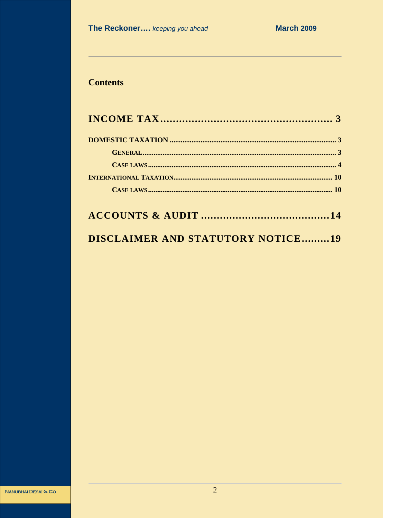# **Contents**

# **DISCLAIMER AND STATUTORY NOTICE.........19**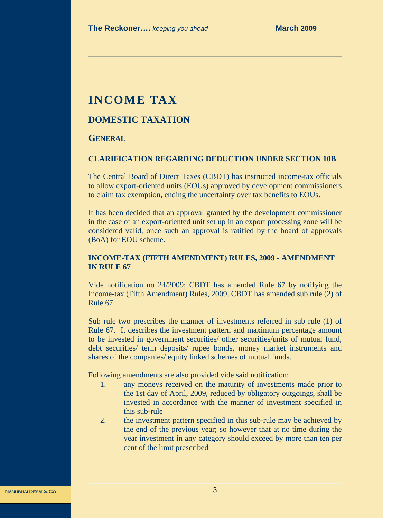# **INCOME TAX**

# **DOMESTIC TAXATION**

# **GENERAL**

### **CLARIFICATION REGARDING DEDUCTION UNDER SECTION 10B**

The Central Board of Direct Taxes (CBDT) has instructed income-tax officials to allow export-oriented units (EOUs) approved by development commissioners to claim tax exemption, ending the uncertainty over tax benefits to EOUs.

It has been decided that an approval granted by the development commissioner in the case of an export-oriented unit set up in an export processing zone will be considered valid, once such an approval is ratified by the board of approvals (BoA) for EOU scheme.

## **INCOME-TAX (FIFTH AMENDMENT) RULES, 2009 - AMENDMENT IN RULE 67**

Vide notification no 24/2009; CBDT has amended Rule 67 by notifying the Income-tax (Fifth Amendment) Rules, 2009. CBDT has amended sub rule (2) of Rule 67.

Sub rule two prescribes the manner of investments referred in sub rule (1) of Rule 67. It describes the investment pattern and maximum percentage amount to be invested in government securities/ other securities/units of mutual fund, debt securities/ term deposits/ rupee bonds, money market instruments and shares of the companies/ equity linked schemes of mutual funds.

Following amendments are also provided vide said notification:

- 1. any moneys received on the maturity of investments made prior to the 1st day of April, 2009, reduced by obligatory outgoings, shall be invested in accordance with the manner of investment specified in this sub-rule
- 2. the investment pattern specified in this sub-rule may be achieved by the end of the previous year; so however that at no time during the year investment in any category should exceed by more than ten per cent of the limit prescribed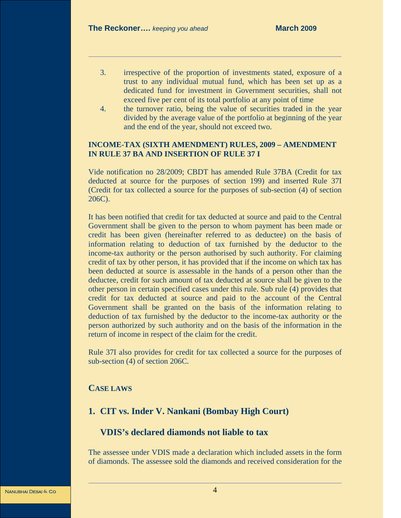- 3. irrespective of the proportion of investments stated, exposure of a trust to any individual mutual fund, which has been set up as a dedicated fund for investment in Government securities, shall not exceed five per cent of its total portfolio at any point of time
- 4. the turnover ratio, being the value of securities traded in the year divided by the average value of the portfolio at beginning of the year and the end of the year, should not exceed two.

### **INCOME-TAX (SIXTH AMENDMENT) RULES, 2009 – AMENDMENT IN RULE 37 BA AND INSERTION OF RULE 37 I**

Vide notification no 28/2009; CBDT has amended Rule 37BA (Credit for tax deducted at source for the purposes of section 199) and inserted Rule 37I (Credit for tax collected a source for the purposes of sub-section (4) of section 206C).

It has been notified that credit for tax deducted at source and paid to the Central Government shall be given to the person to whom payment has been made or credit has been given (hereinafter referred to as deductee) on the basis of information relating to deduction of tax furnished by the deductor to the income-tax authority or the person authorised by such authority. For claiming credit of tax by other person, it has provided that if the income on which tax has been deducted at source is assessable in the hands of a person other than the deductee, credit for such amount of tax deducted at source shall be given to the other person in certain specified cases under this rule. Sub rule (4) provides that credit for tax deducted at source and paid to the account of the Central Government shall be granted on the basis of the information relating to deduction of tax furnished by the deductor to the income-tax authority or the person authorized by such authority and on the basis of the information in the return of income in respect of the claim for the credit.

Rule 37I also provides for credit for tax collected a source for the purposes of sub-section (4) of section 206C.

# **CASE LAWS**

# **1. CIT vs. Inder V. Nankani (Bombay High Court)**

# **VDIS's declared diamonds not liable to tax**

The assessee under VDIS made a declaration which included assets in the form of diamonds. The assessee sold the diamonds and received consideration for the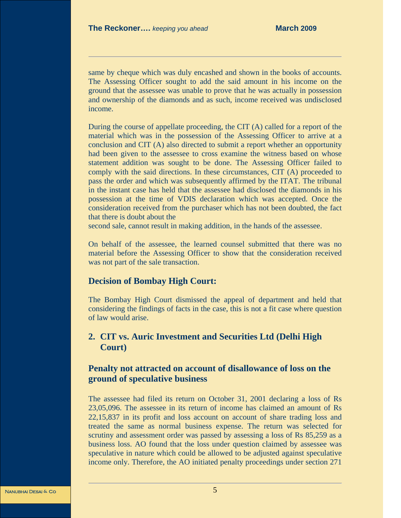same by cheque which was duly encashed and shown in the books of accounts. The Assessing Officer sought to add the said amount in his income on the ground that the assessee was unable to prove that he was actually in possession and ownership of the diamonds and as such, income received was undisclosed income.

During the course of appellate proceeding, the CIT (A) called for a report of the material which was in the possession of the Assessing Officer to arrive at a conclusion and CIT (A) also directed to submit a report whether an opportunity had been given to the assessee to cross examine the witness based on whose statement addition was sought to be done. The Assessing Officer failed to comply with the said directions. In these circumstances, CIT (A) proceeded to pass the order and which was subsequently affirmed by the ITAT. The tribunal in the instant case has held that the assessee had disclosed the diamonds in his possession at the time of VDIS declaration which was accepted. Once the consideration received from the purchaser which has not been doubted, the fact that there is doubt about the

second sale, cannot result in making addition, in the hands of the assessee.

On behalf of the assessee, the learned counsel submitted that there was no material before the Assessing Officer to show that the consideration received was not part of the sale transaction.

# **Decision of Bombay High Court:**

The Bombay High Court dismissed the appeal of department and held that considering the findings of facts in the case, this is not a fit case where question of law would arise.

# **2. CIT vs. Auric Investment and Securities Ltd (Delhi High Court)**

# **Penalty not attracted on account of disallowance of loss on the ground of speculative business**

The assessee had filed its return on October 31, 2001 declaring a loss of Rs 23,05,096. The assessee in its return of income has claimed an amount of Rs 22,15,837 in its profit and loss account on account of share trading loss and treated the same as normal business expense. The return was selected for scrutiny and assessment order was passed by assessing a loss of Rs 85,259 as a business loss. AO found that the loss under question claimed by assessee was speculative in nature which could be allowed to be adjusted against speculative income only. Therefore, the AO initiated penalty proceedings under section 271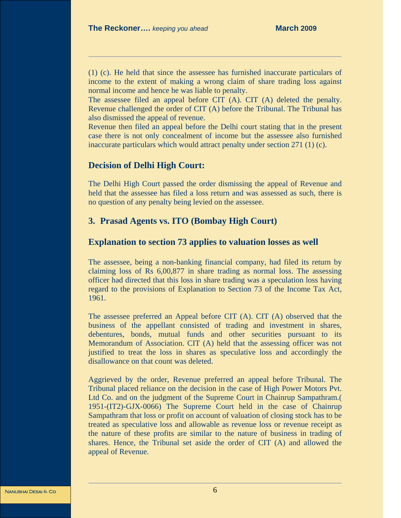(1) (c). He held that since the assessee has furnished inaccurate particulars of income to the extent of making a wrong claim of share trading loss against normal income and hence he was liable to penalty.

The assessee filed an appeal before CIT (A). CIT (A) deleted the penalty. Revenue challenged the order of CIT (A) before the Tribunal. The Tribunal has also dismissed the appeal of revenue.

Revenue then filed an appeal before the Delhi court stating that in the present case there is not only concealment of income but the assessee also furnished inaccurate particulars which would attract penalty under section 271 (1) (c).

## **Decision of Delhi High Court:**

The Delhi High Court passed the order dismissing the appeal of Revenue and held that the assessee has filed a loss return and was assessed as such, there is no question of any penalty being levied on the assessee.

# **3. Prasad Agents vs. ITO (Bombay High Court)**

# **Explanation to section 73 applies to valuation losses as well**

The assessee, being a non-banking financial company, had filed its return by claiming loss of Rs 6,00,877 in share trading as normal loss. The assessing officer had directed that this loss in share trading was a speculation loss having regard to the provisions of Explanation to Section 73 of the Income Tax Act, 1961.

The assessee preferred an Appeal before CIT (A). CIT (A) observed that the business of the appellant consisted of trading and investment in shares, debentures, bonds, mutual funds and other securities pursuant to its Memorandum of Association. CIT (A) held that the assessing officer was not justified to treat the loss in shares as speculative loss and accordingly the disallowance on that count was deleted.

Aggrieved by the order, Revenue preferred an appeal before Tribunal. The Tribunal placed reliance on the decision in the case of High Power Motors Pvt. Ltd Co. and on the judgment of the Supreme Court in Chainrup Sampathram.( 1951-(IT2)-GJX-0066) The Supreme Court held in the case of Chainrup Sampathram that loss or profit on account of valuation of closing stock has to be treated as speculative loss and allowable as revenue loss or revenue receipt as the nature of these profits are similar to the nature of business in trading of shares. Hence, the Tribunal set aside the order of CIT (A) and allowed the appeal of Revenue.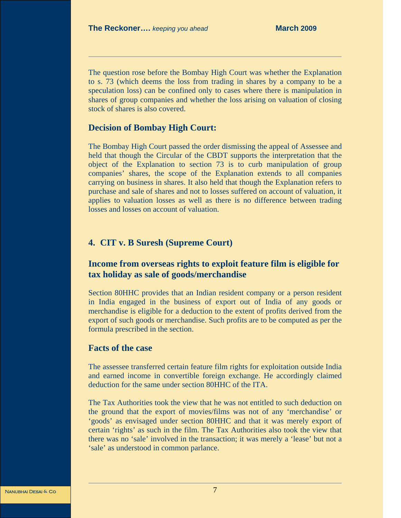The question rose before the Bombay High Court was whether the Explanation to s. 73 (which deems the loss from trading in shares by a company to be a speculation loss) can be confined only to cases where there is manipulation in shares of group companies and whether the loss arising on valuation of closing stock of shares is also covered.

## **Decision of Bombay High Court:**

The Bombay High Court passed the order dismissing the appeal of Assessee and held that though the Circular of the CBDT supports the interpretation that the object of the Explanation to section 73 is to curb manipulation of group companies' shares, the scope of the Explanation extends to all companies carrying on business in shares. It also held that though the Explanation refers to purchase and sale of shares and not to losses suffered on account of valuation, it applies to valuation losses as well as there is no difference between trading losses and losses on account of valuation.

## **4. CIT v. B Suresh (Supreme Court)**

# **Income from overseas rights to exploit feature film is eligible for tax holiday as sale of goods/merchandise**

Section 80HHC provides that an Indian resident company or a person resident in India engaged in the business of export out of India of any goods or merchandise is eligible for a deduction to the extent of profits derived from the export of such goods or merchandise. Such profits are to be computed as per the formula prescribed in the section.

# **Facts of the case**

The assessee transferred certain feature film rights for exploitation outside India and earned income in convertible foreign exchange. He accordingly claimed deduction for the same under section 80HHC of the ITA.

The Tax Authorities took the view that he was not entitled to such deduction on the ground that the export of movies/films was not of any 'merchandise' or 'goods' as envisaged under section 80HHC and that it was merely export of certain 'rights' as such in the film. The Tax Authorities also took the view that there was no 'sale' involved in the transaction; it was merely a 'lease' but not a 'sale' as understood in common parlance.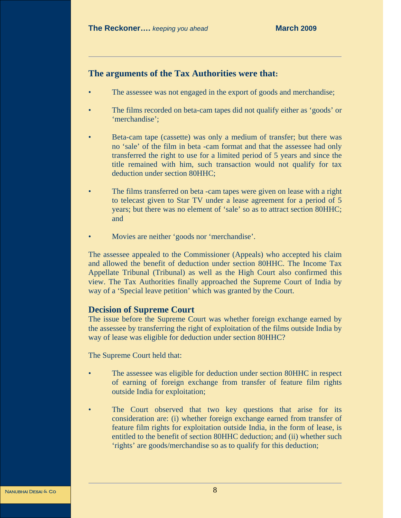# **The arguments of the Tax Authorities were that:**

- The assessee was not engaged in the export of goods and merchandise;
- The films recorded on beta-cam tapes did not qualify either as 'goods' or 'merchandise';
- Beta-cam tape (cassette) was only a medium of transfer; but there was no 'sale' of the film in beta -cam format and that the assessee had only transferred the right to use for a limited period of 5 years and since the title remained with him, such transaction would not qualify for tax deduction under section 80HHC;
- The films transferred on beta -cam tapes were given on lease with a right to telecast given to Star TV under a lease agreement for a period of 5 years; but there was no element of 'sale' so as to attract section 80HHC; and
- Movies are neither 'goods nor 'merchandise'.

The assessee appealed to the Commissioner (Appeals) who accepted his claim and allowed the benefit of deduction under section 80HHC. The Income Tax Appellate Tribunal (Tribunal) as well as the High Court also confirmed this view. The Tax Authorities finally approached the Supreme Court of India by way of a 'Special leave petition' which was granted by the Court.

# **Decision of Supreme Court**

The issue before the Supreme Court was whether foreign exchange earned by the assessee by transferring the right of exploitation of the films outside India by way of lease was eligible for deduction under section 80HHC?

The Supreme Court held that:

- The assessee was eligible for deduction under section 80HHC in respect of earning of foreign exchange from transfer of feature film rights outside India for exploitation;
- The Court observed that two key questions that arise for its consideration are: (i) whether foreign exchange earned from transfer of feature film rights for exploitation outside India, in the form of lease, is entitled to the benefit of section 80HHC deduction; and (ii) whether such 'rights' are goods/merchandise so as to qualify for this deduction;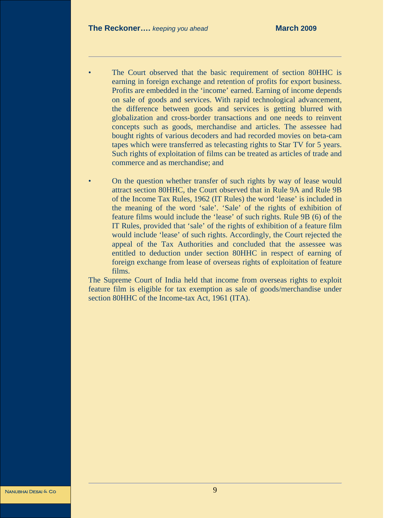- The Court observed that the basic requirement of section 80HHC is earning in foreign exchange and retention of profits for export business. Profits are embedded in the 'income' earned. Earning of income depends on sale of goods and services. With rapid technological advancement, the difference between goods and services is getting blurred with globalization and cross-border transactions and one needs to reinvent concepts such as goods, merchandise and articles. The assessee had bought rights of various decoders and had recorded movies on beta-cam tapes which were transferred as telecasting rights to Star TV for 5 years. Such rights of exploitation of films can be treated as articles of trade and commerce and as merchandise; and
- On the question whether transfer of such rights by way of lease would attract section 80HHC, the Court observed that in Rule 9A and Rule 9B of the Income Tax Rules, 1962 (IT Rules) the word 'lease' is included in the meaning of the word 'sale'. 'Sale' of the rights of exhibition of feature films would include the 'lease' of such rights. Rule 9B (6) of the IT Rules, provided that 'sale' of the rights of exhibition of a feature film would include 'lease' of such rights. Accordingly, the Court rejected the appeal of the Tax Authorities and concluded that the assessee was entitled to deduction under section 80HHC in respect of earning of foreign exchange from lease of overseas rights of exploitation of feature films.

The Supreme Court of India held that income from overseas rights to exploit feature film is eligible for tax exemption as sale of goods/merchandise under section 80HHC of the Income-tax Act, 1961 (ITA).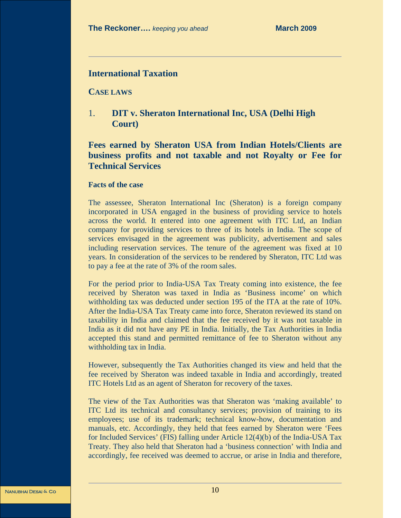# **International Taxation**

**CASE LAWS**

1. **DIT v. Sheraton International Inc, USA (Delhi High Court)** 

# **Fees earned by Sheraton USA from Indian Hotels/Clients are business profits and not taxable and not Royalty or Fee for Technical Services**

### **Facts of the case**

The assessee, Sheraton International Inc (Sheraton) is a foreign company incorporated in USA engaged in the business of providing service to hotels across the world. It entered into one agreement with ITC Ltd, an Indian company for providing services to three of its hotels in India. The scope of services envisaged in the agreement was publicity, advertisement and sales including reservation services. The tenure of the agreement was fixed at 10 years. In consideration of the services to be rendered by Sheraton, ITC Ltd was to pay a fee at the rate of 3% of the room sales.

For the period prior to India-USA Tax Treaty coming into existence, the fee received by Sheraton was taxed in India as 'Business income' on which withholding tax was deducted under section 195 of the ITA at the rate of 10%. After the India-USA Tax Treaty came into force, Sheraton reviewed its stand on taxability in India and claimed that the fee received by it was not taxable in India as it did not have any PE in India. Initially, the Tax Authorities in India accepted this stand and permitted remittance of fee to Sheraton without any withholding tax in India.

However, subsequently the Tax Authorities changed its view and held that the fee received by Sheraton was indeed taxable in India and accordingly, treated ITC Hotels Ltd as an agent of Sheraton for recovery of the taxes.

The view of the Tax Authorities was that Sheraton was 'making available' to ITC Ltd its technical and consultancy services; provision of training to its employees; use of its trademark; technical know-how, documentation and manuals, etc. Accordingly, they held that fees earned by Sheraton were 'Fees for Included Services' (FIS) falling under Article 12(4)(b) of the India-USA Tax Treaty. They also held that Sheraton had a 'business connection' with India and accordingly, fee received was deemed to accrue, or arise in India and therefore,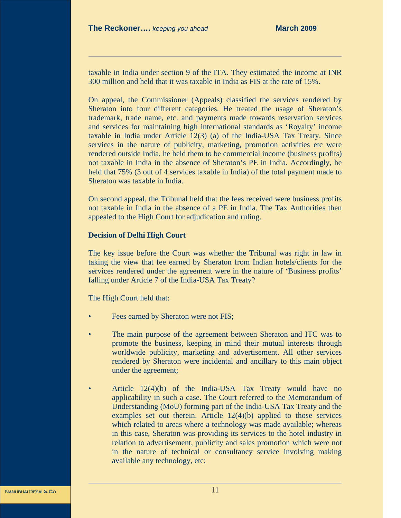taxable in India under section 9 of the ITA. They estimated the income at INR 300 million and held that it was taxable in India as FIS at the rate of 15%.

On appeal, the Commissioner (Appeals) classified the services rendered by Sheraton into four different categories. He treated the usage of Sheraton's trademark, trade name, etc. and payments made towards reservation services and services for maintaining high international standards as 'Royalty' income taxable in India under Article 12(3) (a) of the India-USA Tax Treaty. Since services in the nature of publicity, marketing, promotion activities etc were rendered outside India, he held them to be commercial income (business profits) not taxable in India in the absence of Sheraton's PE in India. Accordingly, he held that 75% (3 out of 4 services taxable in India) of the total payment made to Sheraton was taxable in India.

On second appeal, the Tribunal held that the fees received were business profits not taxable in India in the absence of a PE in India. The Tax Authorities then appealed to the High Court for adjudication and ruling.

## **Decision of Delhi High Court**

The key issue before the Court was whether the Tribunal was right in law in taking the view that fee earned by Sheraton from Indian hotels/clients for the services rendered under the agreement were in the nature of 'Business profits' falling under Article 7 of the India-USA Tax Treaty?

The High Court held that:

- Fees earned by Sheraton were not FIS;
- The main purpose of the agreement between Sheraton and ITC was to promote the business, keeping in mind their mutual interests through worldwide publicity, marketing and advertisement. All other services rendered by Sheraton were incidental and ancillary to this main object under the agreement;
- Article 12(4)(b) of the India-USA Tax Treaty would have no applicability in such a case. The Court referred to the Memorandum of Understanding (MoU) forming part of the India-USA Tax Treaty and the examples set out therein. Article 12(4)(b) applied to those services which related to areas where a technology was made available; whereas in this case, Sheraton was providing its services to the hotel industry in relation to advertisement, publicity and sales promotion which were not in the nature of technical or consultancy service involving making available any technology, etc;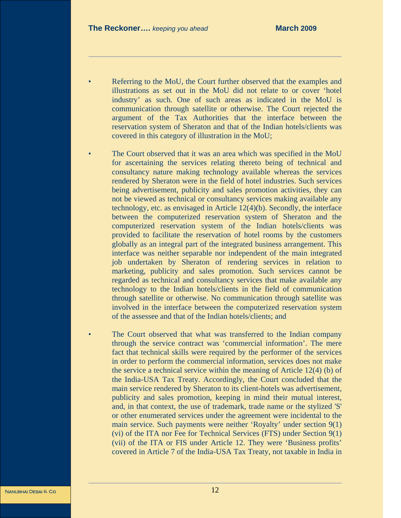- Referring to the MoU, the Court further observed that the examples and illustrations as set out in the MoU did not relate to or cover 'hotel industry' as such. One of such areas as indicated in the MoU is communication through satellite or otherwise. The Court rejected the argument of the Tax Authorities that the interface between the reservation system of Sheraton and that of the Indian hotels/clients was covered in this category of illustration in the MoU;
- The Court observed that it was an area which was specified in the MoU for ascertaining the services relating thereto being of technical and consultancy nature making technology available whereas the services rendered by Sheraton were in the field of hotel industries. Such services being advertisement, publicity and sales promotion activities, they can not be viewed as technical or consultancy services making available any technology, etc. as envisaged in Article 12(4)(b). Secondly, the interface between the computerized reservation system of Sheraton and the computerized reservation system of the Indian hotels/clients was provided to facilitate the reservation of hotel rooms by the customers globally as an integral part of the integrated business arrangement. This interface was neither separable nor independent of the main integrated job undertaken by Sheraton of rendering services in relation to marketing, publicity and sales promotion. Such services cannot be regarded as technical and consultancy services that make available any technology to the Indian hotels/clients in the field of communication through satellite or otherwise. No communication through satellite was involved in the interface between the computerized reservation system of the assessee and that of the Indian hotels/clients; and
- The Court observed that what was transferred to the Indian company through the service contract was 'commercial information'. The mere fact that technical skills were required by the performer of the services in order to perform the commercial information, services does not make the service a technical service within the meaning of Article 12(4) (b) of the India-USA Tax Treaty. Accordingly, the Court concluded that the main service rendered by Sheraton to its client-hotels was advertisement, publicity and sales promotion, keeping in mind their mutual interest, and, in that context, the use of trademark, trade name or the stylized 'S' or other enumerated services under the agreement were incidental to the main service. Such payments were neither 'Royalty' under section 9(1) (vi) of the ITA nor Fee for Technical Services (FTS) under Section 9(1) (vii) of the ITA or FIS under Article 12. They were 'Business profits' covered in Article 7 of the India-USA Tax Treaty, not taxable in India in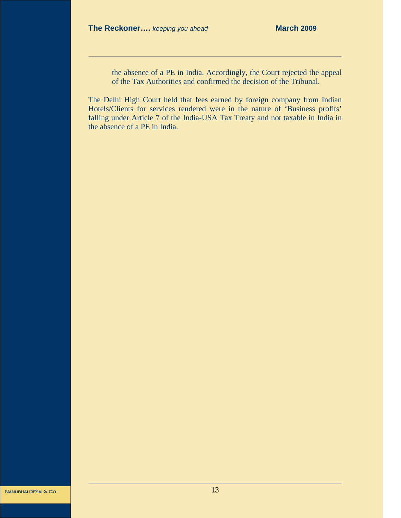the absence of a PE in India. Accordingly, the Court rejected the appeal of the Tax Authorities and confirmed the decision of the Tribunal.

The Delhi High Court held that fees earned by foreign company from Indian Hotels/Clients for services rendered were in the nature of 'Business profits' falling under Article 7 of the India-USA Tax Treaty and not taxable in India in the absence of a PE in India.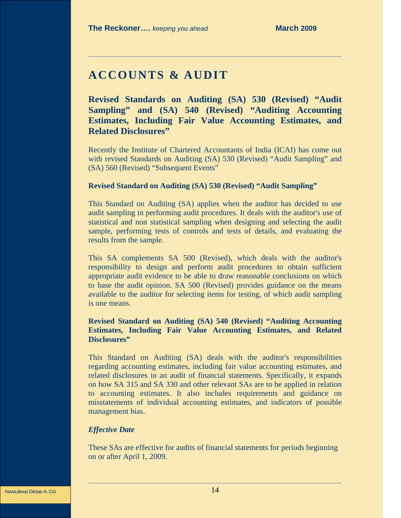# **ACCOUNTS & AUDIT**

**Revised Standards on Auditing (SA) 530 (Revised) "Audit Sampling" and (SA) 540 (Revised) "Auditing Accounting Estimates, Including Fair Value Accounting Estimates, and Related Disclosures"** 

Recently the Institute of Chartered Accountants of India (ICAI) has come out with revised Standards on Auditing (SA) 530 (Revised) "Audit Sampling" and (SA) 560 (Revised) "Subsequent Events"

### **Revised Standard on Auditing (SA) 530 (Revised) "Audit Sampling"**

This Standard on Auditing (SA) applies when the auditor has decided to use audit sampling in performing audit procedures. It deals with the auditor's use of statistical and non statistical sampling when designing and selecting the audit sample, performing tests of controls and tests of details, and evaluating the results from the sample.

This SA complements SA 500 (Revised), which deals with the auditor's responsibility to design and perform audit procedures to obtain sufficient appropriate audit evidence to be able to draw reasonable conclusions on which to base the audit opinion. SA 500 (Revised) provides guidance on the means available to the auditor for selecting items for testing, of which audit sampling is one means.

# **Revised Standard on Auditing (SA) 540 (Revised) "Auditing Accounting Estimates, Including Fair Value Accounting Estimates, and Related Disclosures"**

This Standard on Auditing (SA) deals with the auditor's responsibilities regarding accounting estimates, including fair value accounting estimates, and related disclosures in an audit of financial statements. Specifically, it expands on how SA 315 and SA 330 and other relevant SAs are to be applied in relation to accounting estimates. It also includes requirements and guidance on misstatements of individual accounting estimates, and indicators of possible management bias.

### *Effective Date*

These SAs are effective for audits of financial statements for periods beginning on or after April 1, 2009.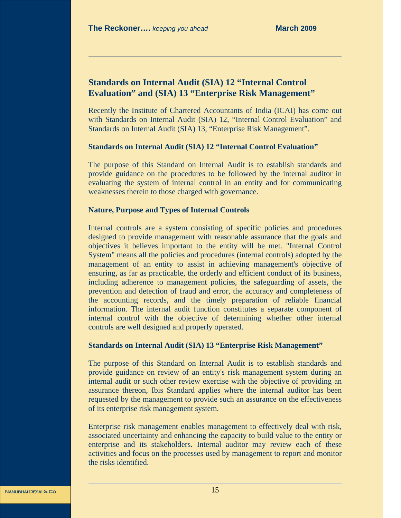# **Standards on Internal Audit (SIA) 12 "Internal Control Evaluation" and (SIA) 13 "Enterprise Risk Management"**

Recently the Institute of Chartered Accountants of India (ICAI) has come out with Standards on Internal Audit (SIA) 12, "Internal Control Evaluation" and Standards on Internal Audit (SIA) 13, "Enterprise Risk Management".

### **Standards on Internal Audit (SIA) 12 "Internal Control Evaluation"**

The purpose of this Standard on Internal Audit is to establish standards and provide guidance on the procedures to be followed by the internal auditor in evaluating the system of internal control in an entity and for communicating weaknesses therein to those charged with governance.

### **Nature, Purpose and Types of Internal Controls**

Internal controls are a system consisting of specific policies and procedures designed to provide management with reasonable assurance that the goals and objectives it believes important to the entity will be met. "Internal Control System" means all the policies and procedures (internal controls) adopted by the management of an entity to assist in achieving management's objective of ensuring, as far as practicable, the orderly and efficient conduct of its business, including adherence to management policies, the safeguarding of assets, the prevention and detection of fraud and error, the accuracy and completeness of the accounting records, and the timely preparation of reliable financial information. The internal audit function constitutes a separate component of internal control with the objective of determining whether other internal controls are well designed and properly operated.

### **Standards on Internal Audit (SIA) 13 "Enterprise Risk Management"**

The purpose of this Standard on Internal Audit is to establish standards and provide guidance on review of an entity's risk management system during an internal audit or such other review exercise with the objective of providing an assurance thereon, Ibis Standard applies where the internal auditor has been requested by the management to provide such an assurance on the effectiveness of its enterprise risk management system.

Enterprise risk management enables management to effectively deal with risk, associated uncertainty and enhancing the capacity to build value to the entity or enterprise and its stakeholders. Internal auditor may review each of these activities and focus on the processes used by management to report and monitor the risks identified.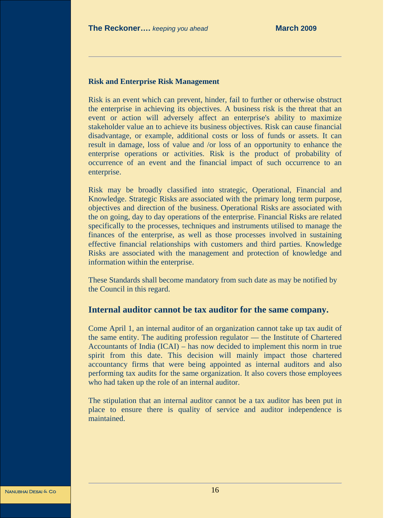### **Risk and Enterprise Risk Management**

Risk is an event which can prevent, hinder, fail to further or otherwise obstruct the enterprise in achieving its objectives. A business risk is the threat that an event or action will adversely affect an enterprise's ability to maximize stakeholder value an to achieve its business objectives. Risk can cause financial disadvantage, or example, additional costs or loss of funds or assets. It can result in damage, loss of value and /or loss of an opportunity to enhance the enterprise operations or activities. Risk is the product of probability of occurrence of an event and the financial impact of such occurrence to an enterprise.

Risk may be broadly classified into strategic, Operational, Financial and Knowledge. Strategic Risks are associated with the primary long term purpose, objectives and direction of the business. Operational Risks are associated with the on going, day to day operations of the enterprise. Financial Risks are related specifically to the processes, techniques and instruments utilised to manage the finances of the enterprise, as well as those processes involved in sustaining effective financial relationships with customers and third parties. Knowledge Risks are associated with the management and protection of knowledge and information within the enterprise.

These Standards shall become mandatory from such date as may be notified by the Council in this regard.

# **Internal auditor cannot be tax auditor for the same company.**

Come April 1, an internal auditor of an organization cannot take up tax audit of the same entity. The auditing profession regulator — the Institute of Chartered Accountants of India (ICAI) – has now decided to implement this norm in true spirit from this date. This decision will mainly impact those chartered accountancy firms that were being appointed as internal auditors and also performing tax audits for the same organization. It also covers those employees who had taken up the role of an internal auditor.

The stipulation that an internal auditor cannot be a tax auditor has been put in place to ensure there is quality of service and auditor independence is maintained.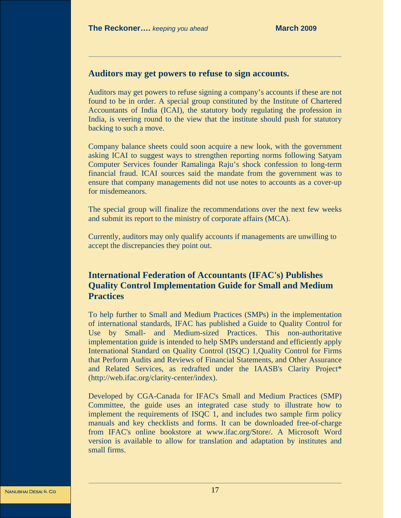# **Auditors may get powers to refuse to sign accounts.**

Auditors may get powers to refuse signing a company's accounts if these are not found to be in order. A special group constituted by the Institute of Chartered Accountants of India (ICAI), the statutory body regulating the profession in India, is veering round to the view that the institute should push for statutory backing to such a move.

Company balance sheets could soon acquire a new look, with the government asking ICAI to suggest ways to strengthen reporting norms following Satyam Computer Services founder Ramalinga Raju's shock confession to long-term financial fraud. ICAI sources said the mandate from the government was to ensure that company managements did not use notes to accounts as a cover-up for misdemeanors.

The special group will finalize the recommendations over the next few weeks and submit its report to the ministry of corporate affairs (MCA).

Currently, auditors may only qualify accounts if managements are unwilling to accept the discrepancies they point out.

# **International Federation of Accountants (IFAC's) Publishes Quality Control Implementation Guide for Small and Medium Practices**

To help further to Small and Medium Practices (SMPs) in the implementation of international standards, IFAC has published a Guide to Quality Control for Use by Small- and Medium-sized Practices. This non-authoritative implementation guide is intended to help SMPs understand and efficiently apply International Standard on Quality Control (ISQC) 1,Quality Control for Firms that Perform Audits and Reviews of Financial Statements, and Other Assurance and Related Services, as redrafted under the IAASB's Clarity Project\* (http://web.ifac.org/clarity-center/index).

Developed by CGA-Canada for IFAC's Small and Medium Practices (SMP) Committee, the guide uses an integrated case study to illustrate how to implement the requirements of ISQC 1, and includes two sample firm policy manuals and key checklists and forms. It can be downloaded free-of-charge from IFAC's online bookstore at www.ifac.org/Store/. A Microsoft Word version is available to allow for translation and adaptation by institutes and small firms.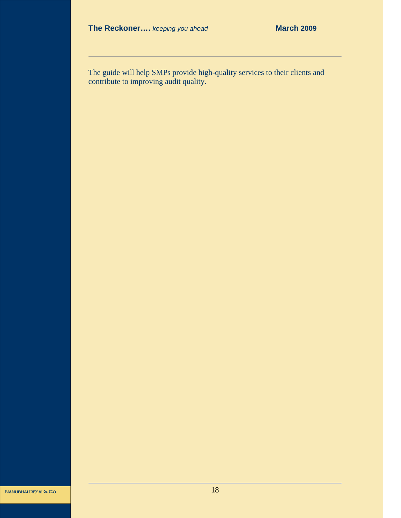The guide will help SMPs provide high-quality services to their clients and contribute to improving audit quality.